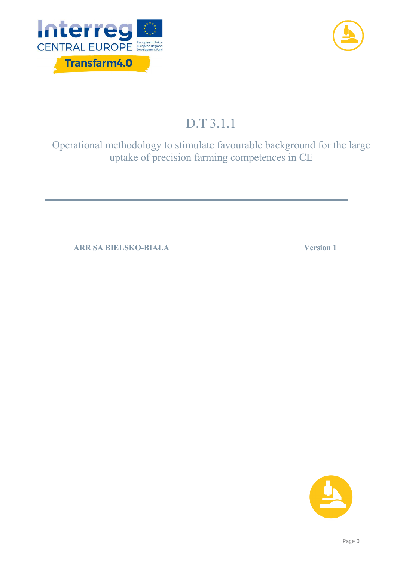



# D.T 3.1.1

Operational methodology to stimulate favourable background for the large uptake of precision farming competences in CE

**ARR SA BIELSKO-BIAŁA Version 1**

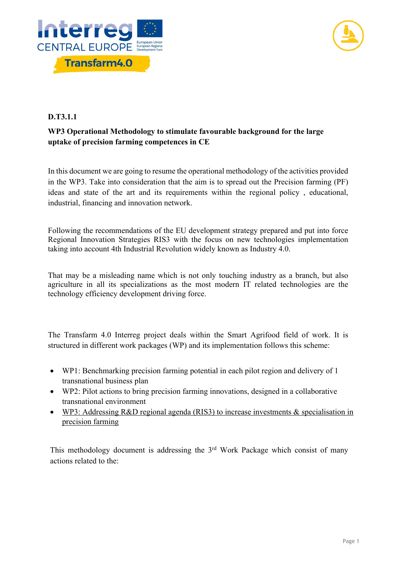



#### **D.T3.1.1**

# **WP3 Operational Methodology to stimulate favourable background for the large uptake of precision farming competences in CE**

In this document we are going to resume the operational methodology of the activities provided in the WP3. Take into consideration that the aim is to spread out the Precision farming (PF) ideas and state of the art and its requirements within the regional policy , educational, industrial, financing and innovation network.

Following the recommendations of the EU development strategy prepared and put into force Regional Innovation Strategies RIS3 with the focus on new technologies implementation taking into account 4th Industrial Revolution widely known as Industry 4.0.

That may be a misleading name which is not only touching industry as a branch, but also agriculture in all its specializations as the most modern IT related technologies are the technology efficiency development driving force.

The Transfarm 4.0 Interreg project deals within the Smart Agrifood field of work. It is structured in different work packages (WP) and its implementation follows this scheme:

- WP1: Benchmarking precision farming potential in each pilot region and delivery of 1 transnational business plan
- WP2: Pilot actions to bring precision farming innovations, designed in a collaborative transnational environment
- WP3: Addressing R&D regional agenda (RIS3) to increase investments & specialisation in precision farming

This methodology document is addressing the  $3<sup>rd</sup>$  Work Package which consist of many actions related to the: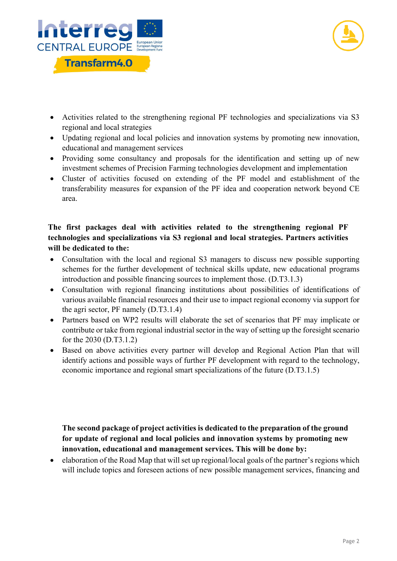



- Activities related to the strengthening regional PF technologies and specializations via S3 regional and local strategies
- Updating regional and local policies and innovation systems by promoting new innovation, educational and management services
- Providing some consultancy and proposals for the identification and setting up of new investment schemes of Precision Farming technologies development and implementation
- Cluster of activities focused on extending of the PF model and establishment of the transferability measures for expansion of the PF idea and cooperation network beyond CE area.

## **The first packages deal with activities related to the strengthening regional PF technologies and specializations via S3 regional and local strategies. Partners activities will be dedicated to the:**

- Consultation with the local and regional S3 managers to discuss new possible supporting schemes for the further development of technical skills update, new educational programs introduction and possible financing sources to implement those. (D.T3.1.3)
- Consultation with regional financing institutions about possibilities of identifications of various available financial resources and their use to impact regional economy via support for the agri sector, PF namely (D.T3.1.4)
- Partners based on WP2 results will elaborate the set of scenarios that PF may implicate or contribute or take from regional industrial sector in the way of setting up the foresight scenario for the 2030 (D.T3.1.2)
- Based on above activities every partner will develop and Regional Action Plan that will identify actions and possible ways of further PF development with regard to the technology, economic importance and regional smart specializations of the future (D.T3.1.5)

**The second package of project activities is dedicated to the preparation of the ground for update of regional and local policies and innovation systems by promoting new innovation, educational and management services. This will be done by:**

• elaboration of the Road Map that will set up regional/local goals of the partner's regions which will include topics and foreseen actions of new possible management services, financing and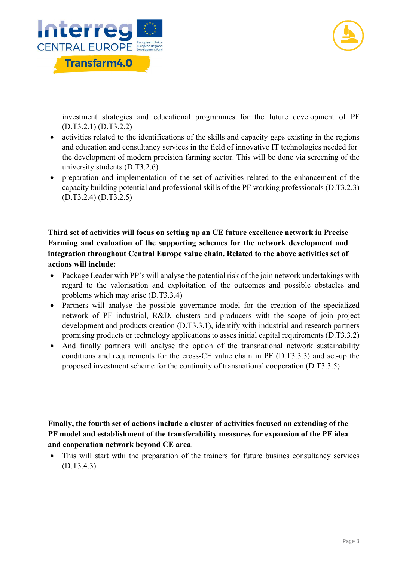



investment strategies and educational programmes for the future development of PF (D.T3.2.1) (D.T3.2.2)

- activities related to the identifications of the skills and capacity gaps existing in the regions and education and consultancy services in the field of innovative IT technologies needed for the development of modern precision farming sector. This will be done via screening of the university students (D.T3.2.6)
- preparation and implementation of the set of activities related to the enhancement of the capacity building potential and professional skills of the PF working professionals (D.T3.2.3) (D.T3.2.4) (D.T3.2.5)

## **Third set of activities will focus on setting up an CE future excellence network in Precise Farming and evaluation of the supporting schemes for the network development and integration throughout Central Europe value chain. Related to the above activities set of actions will include:**

- Package Leader with PP's will analyse the potential risk of the join network undertakings with regard to the valorisation and exploitation of the outcomes and possible obstacles and problems which may arise (D.T3.3.4)
- Partners will analyse the possible governance model for the creation of the specialized network of PF industrial, R&D, clusters and producers with the scope of join project development and products creation (D.T3.3.1), identify with industrial and research partners promising products or technology applications to asses initial capital requirements (D.T3.3.2)
- And finally partners will analyse the option of the transnational network sustainability conditions and requirements for the cross-CE value chain in PF (D.T3.3.3) and set-up the proposed investment scheme for the continuity of transnational cooperation (D.T3.3.5)

## **Finally, the fourth set of actions include a cluster of activities focused on extending of the PF model and establishment of the transferability measures for expansion of the PF idea and cooperation network beyond CE area**.

• This will start wthi the preparation of the trainers for future busines consultancy services (D.T3.4.3)